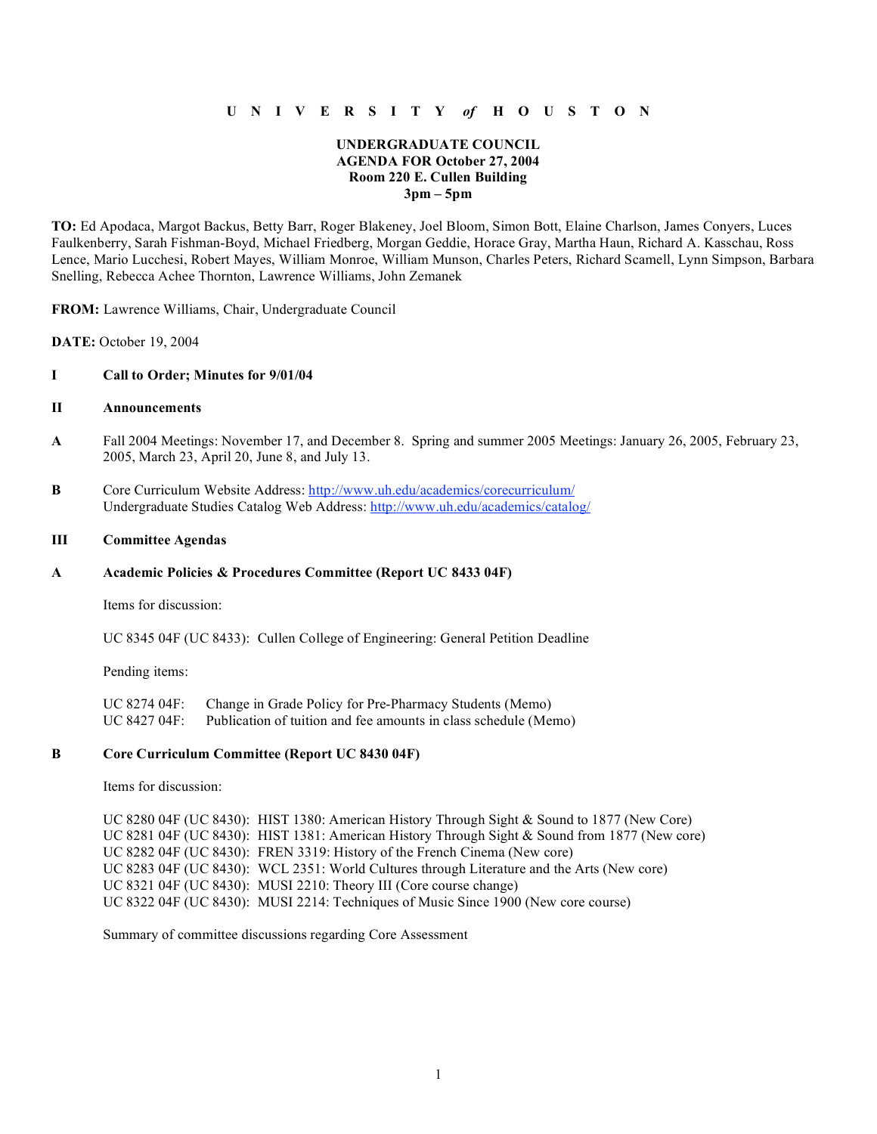# **U N I V E R S I T Y** *of* **H O U S T O N**

## **UNDERGRADUATE COUNCIL AGENDA FOR October 27, 2004 Room 220 E. Cullen Building 3pm – 5pm**

**TO:** Ed Apodaca, Margot Backus, Betty Barr, Roger Blakeney, Joel Bloom, Simon Bott, Elaine Charlson, James Conyers, Luces Faulkenberry, Sarah Fishman-Boyd, Michael Friedberg, Morgan Geddie, Horace Gray, Martha Haun, Richard A. Kasschau, Ross Lence, Mario Lucchesi, Robert Mayes, William Monroe, William Munson, Charles Peters, Richard Scamell, Lynn Simpson, Barbara Snelling, Rebecca Achee Thornton, Lawrence Williams, John Zemanek

**FROM:** Lawrence Williams, Chair, Undergraduate Council

**DATE:** October 19, 2004

### **I Call to Order; Minutes for 9/01/04**

## **II Announcements**

- **A** Fall 2004 Meetings: November 17, and December 8. Spring and summer 2005 Meetings: January 26, 2005, February 23, 2005, March 23, April 20, June 8, and July 13.
- **B** Core Curriculum Website Address: http://www.uh.edu/academics/corecurriculum/ Undergraduate Studies Catalog Web Address: http://www.uh.edu/academics/catalog/

#### **III Committee Agendas**

#### **A Academic Policies & Procedures Committee (Report UC 8433 04F)**

Items for discussion:

UC 8345 04F (UC 8433): Cullen College of Engineering: General Petition Deadline

Pending items:

UC 8274 04F: Change in Grade Policy for Pre-Pharmacy Students (Memo) UC 8427 04F: Publication of tuition and fee amounts in class schedule (Memo)

### **B Core Curriculum Committee (Report UC 8430 04F)**

Items for discussion:

UC 8280 04F (UC 8430): HIST 1380: American History Through Sight & Sound to 1877 (New Core) UC 8281 04F (UC 8430): HIST 1381: American History Through Sight & Sound from 1877 (New core) UC 8282 04F (UC 8430): FREN 3319: History of the French Cinema (New core) UC 8283 04F (UC 8430): WCL 2351: World Cultures through Literature and the Arts (New core) UC 8321 04F (UC 8430): MUSI 2210: Theory III (Core course change) UC 8322 04F (UC 8430): MUSI 2214: Techniques of Music Since 1900 (New core course)

Summary of committee discussions regarding Core Assessment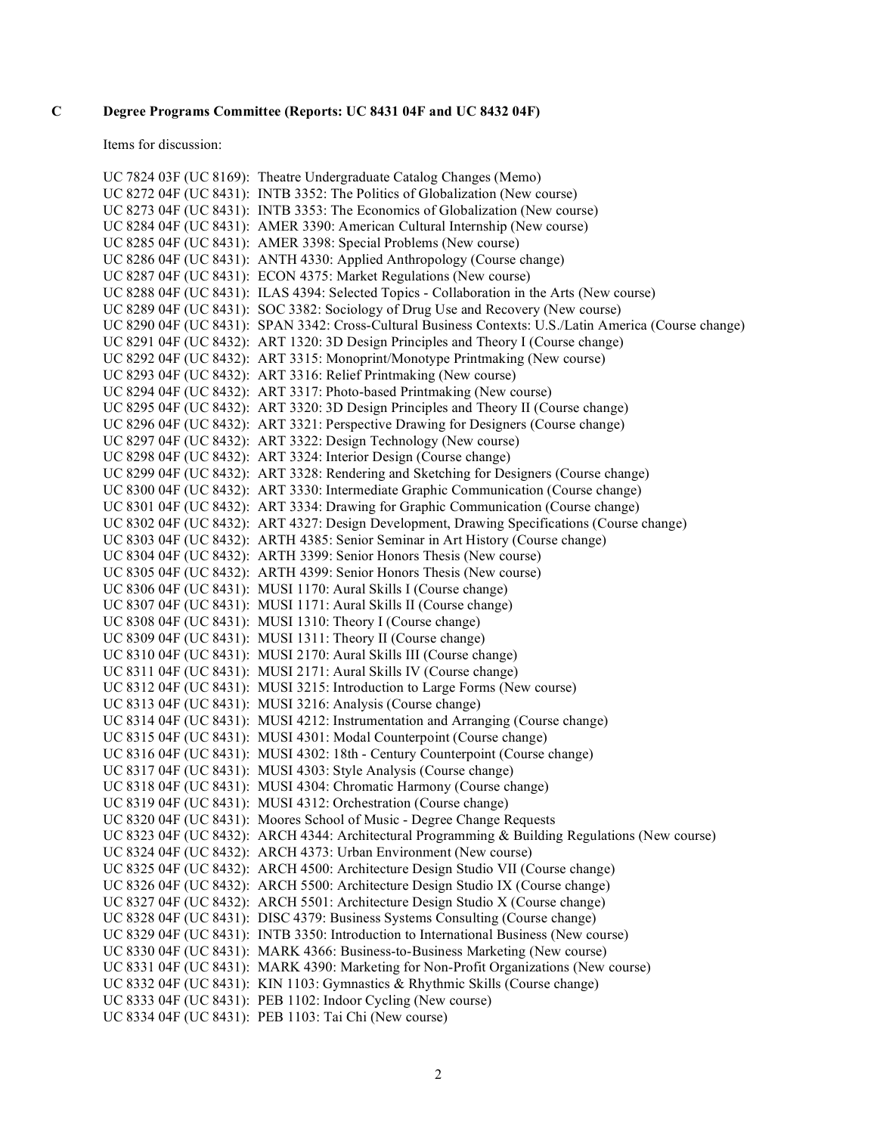## **C Degree Programs Committee (Reports: UC 8431 04F and UC 8432 04F)**

Items for discussion:

```
UC 7824 03F (UC 8169): Theatre Undergraduate Catalog Changes (Memo)
UC 8272 04F (UC 8431): INTB 3352: The Politics of Globalization (New course)
UC 8273 04F (UC 8431): INTB 3353: The Economics of Globalization (New course)
UC 8284 04F (UC 8431): AMER 3390: American Cultural Internship (New course)
UC 8285 04F (UC 8431): AMER 3398: Special Problems (New course)
UC 8286 04F (UC 8431): ANTH 4330: Applied Anthropology (Course change)
UC 8287 04F (UC 8431): ECON 4375: Market Regulations (New course)
UC 8288 04F (UC 8431): ILAS 4394: Selected Topics - Collaboration in the Arts (New course)
UC 8289 04F (UC 8431): SOC 3382: Sociology of Drug Use and Recovery (New course)
UC 8290 04F (UC 8431): SPAN 3342: Cross-Cultural Business Contexts: U.S./Latin America (Course change)
UC 8291 04F (UC 8432): ART 1320: 3D Design Principles and Theory I (Course change)
UC 8292 04F (UC 8432): ART 3315: Monoprint/Monotype Printmaking (New course)
UC 8293 04F (UC 8432): ART 3316: Relief Printmaking (New course)
UC 8294 04F (UC 8432): ART 3317: Photo-based Printmaking (New course)
UC 8295 04F (UC 8432): ART 3320: 3D Design Principles and Theory II (Course change)
UC 8296 04F (UC 8432): ART 3321: Perspective Drawing for Designers (Course change)
UC 8297 04F (UC 8432): ART 3322: Design Technology (New course)
UC 8298 04F (UC 8432): ART 3324: Interior Design (Course change)
UC 8299 04F (UC 8432): ART 3328: Rendering and Sketching for Designers (Course change)
UC 8300 04F (UC 8432): ART 3330: Intermediate Graphic Communication (Course change)
UC 8301 04F (UC 8432): ART 3334: Drawing for Graphic Communication (Course change)
UC 8302 04F (UC 8432): ART 4327: Design Development, Drawing Specifications (Course change)
UC 8303 04F (UC 8432): ARTH 4385: Senior Seminar in Art History (Course change)
UC 8304 04F (UC 8432): ARTH 3399: Senior Honors Thesis (New course)
UC 8305 04F (UC 8432): ARTH 4399: Senior Honors Thesis (New course)
UC 8306 04F (UC 8431): MUSI 1170: Aural Skills I (Course change)
UC 8307 04F (UC 8431): MUSI 1171: Aural Skills II (Course change)
UC 8308 04F (UC 8431): MUSI 1310: Theory I (Course change)
UC 8309 04F (UC 8431): MUSI 1311: Theory II (Course change)
UC 8310 04F (UC 8431): MUSI 2170: Aural Skills III (Course change)
UC 8311 04F (UC 8431): MUSI 2171: Aural Skills IV (Course change)
UC 8312 04F (UC 8431): MUSI 3215: Introduction to Large Forms (New course)
UC 8313 04F (UC 8431): MUSI 3216: Analysis (Course change)
UC 8314 04F (UC 8431): MUSI 4212: Instrumentation and Arranging (Course change)
UC 8315 04F (UC 8431): MUSI 4301: Modal Counterpoint (Course change)
UC 8316 04F (UC 8431): MUSI 4302: 18th - Century Counterpoint (Course change)
UC 8317 04F (UC 8431): MUSI 4303: Style Analysis (Course change)
UC 8318 04F (UC 8431): MUSI 4304: Chromatic Harmony (Course change)
UC 8319 04F (UC 8431): MUSI 4312: Orchestration (Course change)
UC 8320 04F (UC 8431): Moores School of Music - Degree Change Requests
UC 8323 04F (UC 8432): ARCH 4344: Architectural Programming & Building Regulations (New course)
UC 8324 04F (UC 8432): ARCH 4373: Urban Environment (New course)
UC 8325 04F (UC 8432): ARCH 4500: Architecture Design Studio VII (Course change)
UC 8326 04F (UC 8432): ARCH 5500: Architecture Design Studio IX (Course change)
UC 8327 04F (UC 8432): ARCH 5501: Architecture Design Studio X (Course change)
UC 8328 04F (UC 8431): DISC 4379: Business Systems Consulting (Course change)
UC 8329 04F (UC 8431): INTB 3350: Introduction to International Business (New course)
UC 8330 04F (UC 8431): MARK 4366: Business-to-Business Marketing (New course)
UC 8331 04F (UC 8431): MARK 4390: Marketing for Non-Profit Organizations (New course)
UC 8332 04F (UC 8431): KIN 1103: Gymnastics & Rhythmic Skills (Course change)
UC 8333 04F (UC 8431): PEB 1102: Indoor Cycling (New course)
UC 8334 04F (UC 8431): PEB 1103: Tai Chi (New course)
```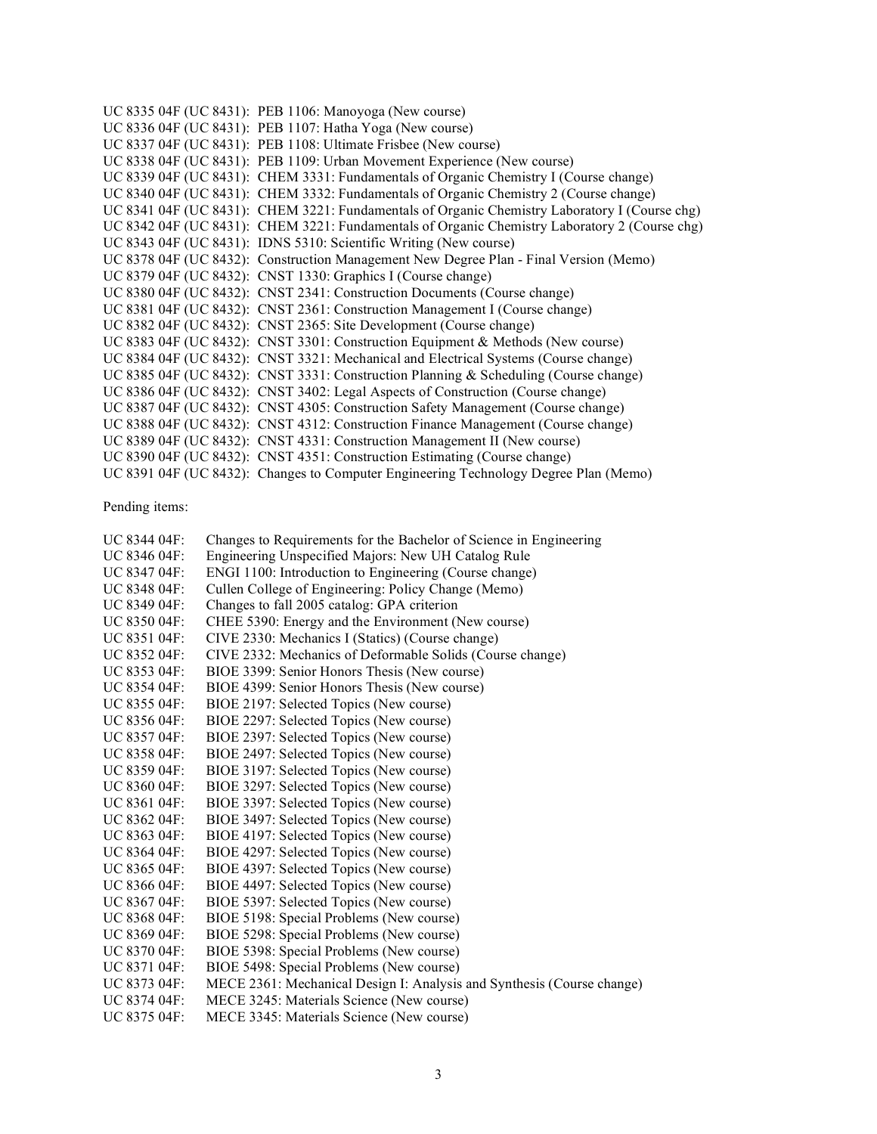UC 8335 04F (UC 8431): PEB 1106: Manoyoga (New course) UC 8336 04F (UC 8431): PEB 1107: Hatha Yoga (New course) UC 8337 04F (UC 8431): PEB 1108: Ultimate Frisbee (New course) UC 8338 04F (UC 8431): PEB 1109: Urban Movement Experience (New course) UC 8339 04F (UC 8431): CHEM 3331: Fundamentals of Organic Chemistry I (Course change) UC 8340 04F (UC 8431): CHEM 3332: Fundamentals of Organic Chemistry 2 (Course change) UC 8341 04F (UC 8431): CHEM 3221: Fundamentals of Organic Chemistry Laboratory I (Course chg) UC 8342 04F (UC 8431): CHEM 3221: Fundamentals of Organic Chemistry Laboratory 2 (Course chg) UC 8343 04F (UC 8431): IDNS 5310: Scientific Writing (New course) UC 8378 04F (UC 8432): Construction Management New Degree Plan - Final Version (Memo) UC 8379 04F (UC 8432): CNST 1330: Graphics I (Course change) UC 8380 04F (UC 8432): CNST 2341: Construction Documents (Course change) UC 8381 04F (UC 8432): CNST 2361: Construction Management I (Course change) UC 8382 04F (UC 8432): CNST 2365: Site Development (Course change) UC 8383 04F (UC 8432): CNST 3301: Construction Equipment & Methods (New course) UC 8384 04F (UC 8432): CNST 3321: Mechanical and Electrical Systems (Course change) UC 8385 04F (UC 8432): CNST 3331: Construction Planning & Scheduling (Course change) UC 8386 04F (UC 8432): CNST 3402: Legal Aspects of Construction (Course change) UC 8387 04F (UC 8432): CNST 4305: Construction Safety Management (Course change) UC 8388 04F (UC 8432): CNST 4312: Construction Finance Management (Course change) UC 8389 04F (UC 8432): CNST 4331: Construction Management II (New course) UC 8390 04F (UC 8432): CNST 4351: Construction Estimating (Course change) UC 8391 04F (UC 8432): Changes to Computer Engineering Technology Degree Plan (Memo)

Pending items:

| UC 8344 04F: | Changes to Requirements for the Bachelor of Science in Engineering     |
|--------------|------------------------------------------------------------------------|
| UC 8346 04F: | Engineering Unspecified Majors: New UH Catalog Rule                    |
| UC 8347 04F: | ENGI 1100: Introduction to Engineering (Course change)                 |
| UC 8348 04F: | Cullen College of Engineering: Policy Change (Memo)                    |
| UC 8349 04F: | Changes to fall 2005 catalog: GPA criterion                            |
| UC 8350 04F: | CHEE 5390: Energy and the Environment (New course)                     |
| UC 8351 04F: | CIVE 2330: Mechanics I (Statics) (Course change)                       |
| UC 8352 04F: | CIVE 2332: Mechanics of Deformable Solids (Course change)              |
| UC 8353 04F: | BIOE 3399: Senior Honors Thesis (New course)                           |
| UC 8354 04F: | BIOE 4399: Senior Honors Thesis (New course)                           |
| UC 8355 04F: | BIOE 2197: Selected Topics (New course)                                |
| UC 8356 04F: | BIOE 2297: Selected Topics (New course)                                |
| UC 8357 04F: | BIOE 2397: Selected Topics (New course)                                |
| UC 8358 04F: | BIOE 2497: Selected Topics (New course)                                |
| UC 8359 04F: | BIOE 3197: Selected Topics (New course)                                |
| UC 8360 04F: | BIOE 3297: Selected Topics (New course)                                |
| UC 8361 04F: | BIOE 3397: Selected Topics (New course)                                |
| UC 8362 04F: | BIOE 3497: Selected Topics (New course)                                |
| UC 8363 04F: | BIOE 4197: Selected Topics (New course)                                |
| UC 8364 04F: | BIOE 4297: Selected Topics (New course)                                |
| UC 8365 04F: | BIOE 4397: Selected Topics (New course)                                |
| UC 8366 04F: | BIOE 4497: Selected Topics (New course)                                |
| UC 8367 04F: | BIOE 5397: Selected Topics (New course)                                |
| UC 8368 04F: | BIOE 5198: Special Problems (New course)                               |
| UC 8369 04F: | BIOE 5298: Special Problems (New course)                               |
| UC 8370 04F: | BIOE 5398: Special Problems (New course)                               |
| UC 8371 04F: | BIOE 5498: Special Problems (New course)                               |
| UC 8373 04F: | MECE 2361: Mechanical Design I: Analysis and Synthesis (Course change) |
| UC 8374 04F: | MECE 3245: Materials Science (New course)                              |
| UC 8375 04F: | MECE 3345: Materials Science (New course)                              |